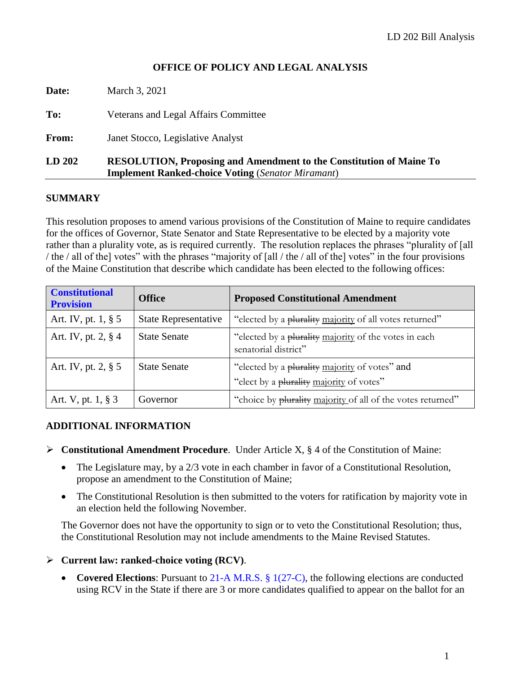## **OFFICE OF POLICY AND LEGAL ANALYSIS**

| LD 202 | <b>RESOLUTION, Proposing and Amendment to the Constitution of Maine To</b><br><b>Implement Ranked-choice Voting (Senator Miramant)</b> |  |
|--------|----------------------------------------------------------------------------------------------------------------------------------------|--|
| From:  | Janet Stocco, Legislative Analyst                                                                                                      |  |
| To:    | Veterans and Legal Affairs Committee                                                                                                   |  |
| Date:  | March 3, 2021                                                                                                                          |  |

#### **SUMMARY**

This resolution proposes to amend various provisions of the Constitution of Maine to require candidates for the offices of Governor, State Senator and State Representative to be elected by a majority vote rather than a plurality vote, as is required currently. The resolution replaces the phrases "plurality of [all / the / all of the] votes" with the phrases "majority of [all / the / all of the] votes" in the four provisions of the Maine Constitution that describe which candidate has been elected to the following offices:

| <b>Constitutional</b><br><b>Provision</b> | <b>Office</b>               | <b>Proposed Constitutional Amendment</b>                                                   |
|-------------------------------------------|-----------------------------|--------------------------------------------------------------------------------------------|
| Art. IV, pt. $1, § 5$                     | <b>State Representative</b> | "elected by a plurality majority of all votes returned"                                    |
| Art. IV, pt. 2, $§$ 4                     | <b>State Senate</b>         | "elected by a plurality majority of the votes in each<br>senatorial district"              |
| Art. IV, pt. $2, § 5$                     | <b>State Senate</b>         | "elected by a plurality majority of votes" and<br>"elect by a plurality majority of votes" |
| Art. V, pt. $1, § 3$                      | Governor                    | "choice by plurality majority of all of the votes returned"                                |

#### **ADDITIONAL INFORMATION**

- ➢ **Constitutional Amendment Procedure**. Under Article X, § 4 of the Constitution of Maine:
	- The Legislature may, by a 2/3 vote in each chamber in favor of a Constitutional Resolution, propose an amendment to the Constitution of Maine;
	- The Constitutional Resolution is then submitted to the voters for ratification by majority vote in an election held the following November.

The Governor does not have the opportunity to sign or to veto the Constitutional Resolution; thus, the Constitutional Resolution may not include amendments to the Maine Revised Statutes.

#### ➢ **Current law: ranked-choice voting (RCV)**.

• **Covered Elections**: Pursuant to [21-A M.R.S. §](http://legislature.maine.gov/legis/statutes/21-A/title21-Asec1.html) 1(27-C), the following elections are conducted using RCV in the State if there are 3 or more candidates qualified to appear on the ballot for an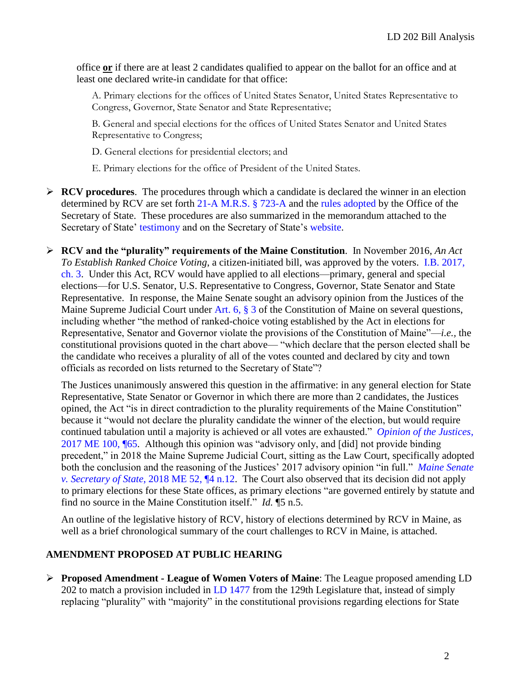office **or** if there are at least 2 candidates qualified to appear on the ballot for an office and at least one declared write-in candidate for that office:

A. Primary elections for the offices of United States Senator, United States Representative to Congress, Governor, State Senator and State Representative;

B. General and special elections for the offices of United States Senator and United States Representative to Congress;

D. General elections for presidential electors; and

E. Primary elections for the office of President of the United States.

- ➢ **RCV procedures**. The procedures through which a candidate is declared the winner in an election determined by RCV are set forth [21-A M.R.S. §](http://legislature.maine.gov/legis/statutes/21-A/title21-Asec723-A.html) 723-A and the [rules adopted](https://www.maine.gov/sos/cec/rules/29/250/250c535.docx) by the Office of the Secretary of State. These procedures are also summarized in the memorandum attached to the Secretary of State' [testimony](http://www.mainelegislature.org/legis/bills/getTestimonyDoc.asp?id=142491) and on the Secretary of State's [website.](https://www.maine.gov/sos/cec/elec/upcoming/rcv.html)
- ➢ **RCV and the "plurality" requirements of the Maine Constitution**. In November 2016, *An Act To Establish Ranked Choice Voting*, a citizen-initiated bill, was approved by the voters. [I.B. 2017,](http://www.mainelegislature.org/legis/bills/bills_127th/chappdfs/IB3.pdf)  [ch. 3.](http://www.mainelegislature.org/legis/bills/bills_127th/chappdfs/IB3.pdf) Under this Act, RCV would have applied to all elections—primary, general and special elections—for U.S. Senator, U.S. Representative to Congress, Governor, State Senator and State Representative. In response, the Maine Senate sought an advisory opinion from the Justices of the Maine Supreme Judicial Court under [Art.](http://legislature.maine.gov/ros/LawsOfMaine/#Const) 6, § 3 of the Constitution of Maine on several questions, including whether "the method of ranked-choice voting established by the Act in elections for Representative, Senator and Governor violate the provisions of the Constitution of Maine"—*i.e.,* the constitutional provisions quoted in the chart above— "which declare that the person elected shall be the candidate who receives a plurality of all of the votes counted and declared by city and town officials as recorded on lists returned to the Secretary of State"?

The Justices unanimously answered this question in the affirmative: in any general election for State Representative, State Senator or Governor in which there are more than 2 candidates, the Justices opined, the Act "is in direct contradiction to the plurality requirements of the Maine Constitution" because it "would not declare the plurality candidate the winner of the election, but would require continued tabulation until a majority is achieved or all votes are exhausted." *[Opinion of the Justices](https://www.courts.maine.gov/courts/sjc/lawcourt/2017/17me100.pdf)*, [2017 ME 100, ¶65.](https://www.courts.maine.gov/courts/sjc/lawcourt/2017/17me100.pdf) Although this opinion was "advisory only, and [did] not provide binding precedent," in 2018 the Maine Supreme Judicial Court, sitting as the Law Court, specifically adopted both the conclusion and the reasoning of the Justices' 2017 advisory opinion "in full." *[Maine Senate](https://www.courts.maine.gov/courts/sjc/lawcourt/2018/18me052.pdf)  v. Secretary of State*[, 2018 ME 52, ¶4 n.12.](https://www.courts.maine.gov/courts/sjc/lawcourt/2018/18me052.pdf) The Court also observed that its decision did not apply to primary elections for these State offices, as primary elections "are governed entirely by statute and find no source in the Maine Constitution itself." *Id.* ¶5 n.5.

An outline of the legislative history of RCV, history of elections determined by RCV in Maine, as well as a brief chronological summary of the court challenges to RCV in Maine, is attached.

## **AMENDMENT PROPOSED AT PUBLIC HEARING**

➢ **Proposed Amendment - League of Women Voters of Maine**: The League proposed amending LD 202 to match a provision included in [LD 1477](http://www.mainelegislature.org/legis/bills/getPDF.asp?paper=HP1079&item=1&snum=129) from the 129th Legislature that, instead of simply replacing "plurality" with "majority" in the constitutional provisions regarding elections for State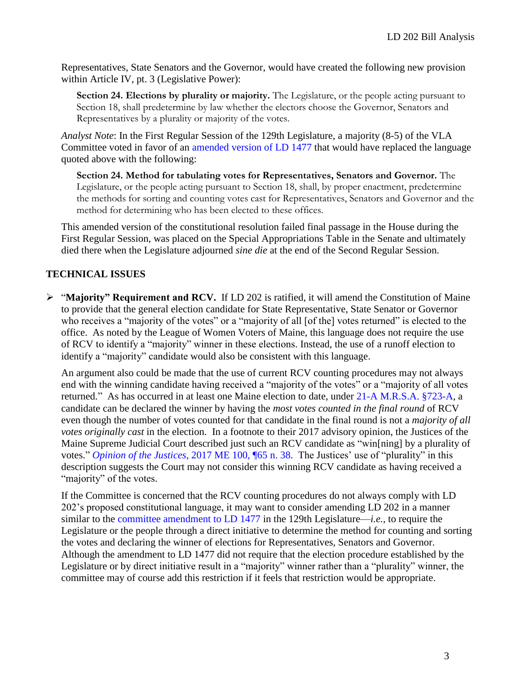Representatives, State Senators and the Governor, would have created the following new provision within Article IV, pt. 3 (Legislative Power):

**Section 24. Elections by plurality or majority.** The Legislature, or the people acting pursuant to Section 18, shall predetermine by law whether the electors choose the Governor, Senators and Representatives by a plurality or majority of the votes.

*Analyst Note*: In the First Regular Session of the 129th Legislature, a majority (8-5) of the VLA Committee voted in favor of an [amended version of LD 1477](http://www.mainelegislature.org/legis/bills/bills_129th/billtexts/HP107902.asp) that would have replaced the language quoted above with the following:

**Section 24. Method for tabulating votes for Representatives, Senators and Governor.** The Legislature, or the people acting pursuant to Section 18, shall, by proper enactment, predetermine the methods for sorting and counting votes cast for Representatives, Senators and Governor and the method for determining who has been elected to these offices.

This amended version of the constitutional resolution failed final passage in the House during the First Regular Session, was placed on the Special Appropriations Table in the Senate and ultimately died there when the Legislature adjourned *sine die* at the end of the Second Regular Session.

# **TECHNICAL ISSUES**

➢ "**Majority" Requirement and RCV.** If LD 202 is ratified, it will amend the Constitution of Maine to provide that the general election candidate for State Representative, State Senator or Governor who receives a "majority of the votes" or a "majority of all [of the] votes returned" is elected to the office. As noted by the League of Women Voters of Maine, this language does not require the use of RCV to identify a "majority" winner in these elections. Instead, the use of a runoff election to identify a "majority" candidate would also be consistent with this language.

An argument also could be made that the use of current RCV counting procedures may not always end with the winning candidate having received a "majority of the votes" or a "majority of all votes returned." As has occurred in at least one Maine election to date, under [21-A M.R.S.A. §723-A,](http://legislature.maine.gov/legis/statutes/21-A/title21-Asec723-A.html) a candidate can be declared the winner by having the *most votes counted in the final round* of RCV even though the number of votes counted for that candidate in the final round is not a *majority of all votes originally cast* in the election. In a footnote to their 2017 advisory opinion, the Justices of the Maine Supreme Judicial Court described just such an RCV candidate as "win[ning] by a plurality of votes." *Opinion of the Justices*[, 2017 ME 100, ¶65 n. 38.](https://www.courts.maine.gov/courts/sjc/lawcourt/2017/17me100.pdf) The Justices' use of "plurality" in this description suggests the Court may not consider this winning RCV candidate as having received a "majority" of the votes.

If the Committee is concerned that the RCV counting procedures do not always comply with LD 202's proposed constitutional language, it may want to consider amending LD 202 in a manner similar to the [committee amendment to LD 1477](http://www.mainelegislature.org/legis/bills/bills_129th/billtexts/HP107902.asp) in the 129th Legislature—*i.e.,* to require the Legislature or the people through a direct initiative to determine the method for counting and sorting the votes and declaring the winner of elections for Representatives, Senators and Governor. Although the amendment to LD 1477 did not require that the election procedure established by the Legislature or by direct initiative result in a "majority" winner rather than a "plurality" winner, the committee may of course add this restriction if it feels that restriction would be appropriate.